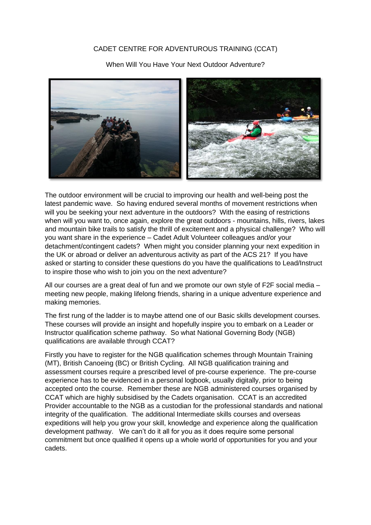## CADET CENTRE FOR ADVENTUROUS TRAINING (CCAT)

When Will You Have Your Next Outdoor Adventure?



The outdoor environment will be crucial to improving our health and well-being post the latest pandemic wave. So having endured several months of movement restrictions when will you be seeking your next adventure in the outdoors? With the easing of restrictions when will you want to, once again, explore the great outdoors - mountains, hills, rivers, lakes and mountain bike trails to satisfy the thrill of excitement and a physical challenge? Who will you want share in the experience – Cadet Adult Volunteer colleagues and/or your detachment/contingent cadets? When might you consider planning your next expedition in the UK or abroad or deliver an adventurous activity as part of the ACS 21? If you have asked or starting to consider these questions do you have the qualifications to Lead/Instruct to inspire those who wish to join you on the next adventure?

All our courses are a great deal of fun and we promote our own style of F2F social media – meeting new people, making lifelong friends, sharing in a unique adventure experience and making memories.

The first rung of the ladder is to maybe attend one of our Basic skills development courses. These courses will provide an insight and hopefully inspire you to embark on a Leader or Instructor qualification scheme pathway. So what National Governing Body (NGB) qualifications are available through CCAT?

Firstly you have to register for the NGB qualification schemes through Mountain Training (MT), British Canoeing (BC) or British Cycling. All NGB qualification training and assessment courses require a prescribed level of pre-course experience. The pre-course experience has to be evidenced in a personal logbook, usually digitally, prior to being accepted onto the course. Remember these are NGB administered courses organised by CCAT which are highly subsidised by the Cadets organisation. CCAT is an accredited Provider accountable to the NGB as a custodian for the professional standards and national integrity of the qualification. The additional Intermediate skills courses and overseas expeditions will help you grow your skill, knowledge and experience along the qualification development pathway. We can't do it all for you as it does require some personal commitment but once qualified it opens up a whole world of opportunities for you and your cadets.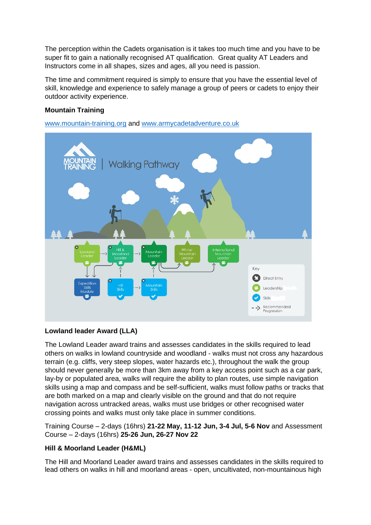The perception within the Cadets organisation is it takes too much time and you have to be super fit to gain a nationally recognised AT qualification. Great quality AT Leaders and Instructors come in all shapes, sizes and ages, all you need is passion.

The time and commitment required is simply to ensure that you have the essential level of skill, knowledge and experience to safely manage a group of peers or cadets to enjoy their outdoor activity experience.

## **Mountain Training**

[www.mountain-training.org](http://www.mountain-training.org/) and [www.armycadetadventure.co.uk](http://www.armycadetadventure.co.uk/)



## **Lowland leader Award (LLA)**

The Lowland Leader award trains and assesses candidates in the skills required to lead others on walks in lowland countryside and woodland - walks must not cross any hazardous terrain (e.g. cliffs, very steep slopes, water hazards etc.), throughout the walk the group should never generally be more than 3km away from a key access point such as a car park, lay-by or populated area, walks will require the ability to plan routes, use simple navigation skills using a map and compass and be self-sufficient, walks must follow paths or tracks that are both marked on a map and clearly visible on the ground and that do not require navigation across untracked areas, walks must use bridges or other recognised water crossing points and walks must only take place in summer conditions.

Training Course – 2-days (16hrs) **21-22 May, 11-12 Jun, 3-4 Jul, 5-6 Nov** and Assessment Course – 2-days (16hrs) **25-26 Jun, 26-27 Nov 22**

## **Hill & Moorland Leader (H&ML)**

The Hill and Moorland Leader award trains and assesses candidates in the skills required to lead others on walks in hill and moorland areas - open, uncultivated, non-mountainous high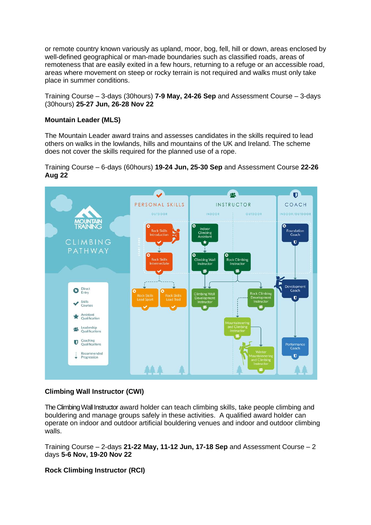or remote country known variously as upland, moor, bog, fell, hill or down, areas enclosed by well-defined geographical or man-made boundaries such as classified roads, areas of remoteness that are easily exited in a few hours, returning to a refuge or an accessible road, areas where movement on steep or rocky terrain is not required and walks must only take place in summer conditions.

Training Course – 3-days (30hours) **7-9 May, 24-26 Sep** and Assessment Course – 3-days (30hours) **25-27 Jun, 26-28 Nov 22**

## **Mountain Leader (MLS)**

The Mountain Leader award trains and assesses candidates in the skills required to lead others on walks in the lowlands, hills and mountains of the UK and Ireland. The scheme does not cover the skills required for the planned use of a rope.

Training Course – 6-days (60hours) **19-24 Jun, 25-30 Sep** and Assessment Course **22-26 Aug 22**



## **Climbing Wall Instructor (CWI)**

The Climbing Wall Instructor award holder can teach climbing skills, take people climbing and bouldering and manage groups safely in these activities. A qualified award holder can operate on indoor and outdoor artificial bouldering venues and indoor and outdoor climbing walls.

Training Course – 2-days **21-22 May, 11-12 Jun, 17-18 Sep** and Assessment Course – 2 days **5-6 Nov, 19-20 Nov 22**

## **Rock Climbing Instructor (RCI)**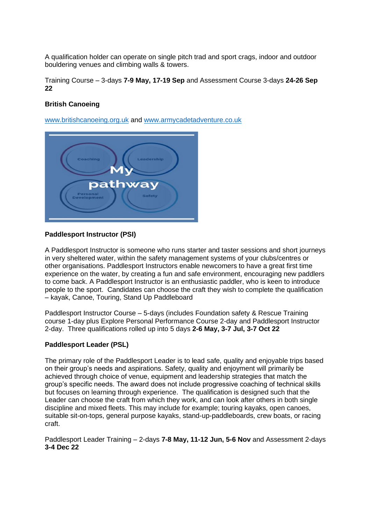A qualification holder can operate on single pitch trad and sport crags, indoor and outdoor bouldering venues and climbing walls & towers.

Training Course – 3-days **7-9 May, 17-19 Sep** and Assessment Course 3-days **24-26 Sep 22**

# **British Canoeing**

[www.britishcanoeing.org.uk](http://www.britishcanoeing.org.uk/) and [www.armycadetadventure.co.uk](http://www.armycadetadventure.co.uk/)



### **Paddlesport Instructor (PSI)**

A Paddlesport Instructor is someone who runs starter and taster sessions and short journeys in very sheltered water, within the safety management systems of your clubs/centres or other organisations. Paddlesport Instructors enable newcomers to have a great first time experience on the water, by creating a fun and safe environment, encouraging new paddlers to come back. A Paddlesport Instructor is an enthusiastic paddler, who is keen to introduce people to the sport. Candidates can choose the craft they wish to complete the qualification – kayak, Canoe, Touring, Stand Up Paddleboard

Paddlesport Instructor Course – 5-days (includes Foundation safety & Rescue Training course 1-day plus Explore Personal Performance Course 2-day and Paddlesport Instructor 2-day. Three qualifications rolled up into 5 days **2-6 May, 3-7 Jul, 3-7 Oct 22**

#### **Paddlesport Leader (PSL)**

The primary role of the Paddlesport Leader is to lead safe, quality and enjoyable trips based on their group's needs and aspirations. Safety, quality and enjoyment will primarily be achieved through choice of venue, equipment and leadership strategies that match the group's specific needs. The award does not include progressive coaching of technical skills but focuses on learning through experience. The qualification is designed such that the Leader can choose the craft from which they work, and can look after others in both single discipline and mixed fleets. This may include for example; touring kayaks, open canoes, suitable sit-on-tops, general purpose kayaks, stand-up-paddleboards, crew boats, or racing craft.

Paddlesport Leader Training – 2-days **7-8 May, 11-12 Jun, 5-6 Nov** and Assessment 2-days **3-4 Dec 22**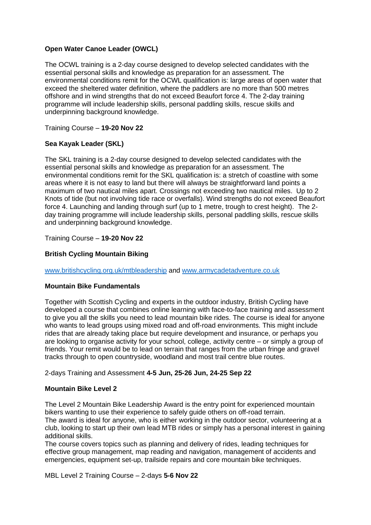# **Open Water Canoe Leader (OWCL)**

The OCWL training is a 2-day course designed to develop selected candidates with the essential personal skills and knowledge as preparation for an assessment. The environmental conditions remit for the OCWL qualification is: large areas of open water that exceed the sheltered water definition, where the paddlers are no more than 500 metres offshore and in wind strengths that do not exceed Beaufort force 4. The 2-day training programme will include leadership skills, personal paddling skills, rescue skills and underpinning background knowledge.

Training Course – **19-20 Nov 22**

# **Sea Kayak Leader (SKL)**

The SKL training is a 2-day course designed to develop selected candidates with the essential personal skills and knowledge as preparation for an assessment. The environmental conditions remit for the SKL qualification is: a stretch of coastline with some areas where it is not easy to land but there will always be straightforward land points a maximum of two nautical miles apart. Crossings not exceeding two nautical miles. Up to 2 Knots of tide (but not involving tide race or overfalls). Wind strengths do not exceed Beaufort force 4. Launching and landing through surf (up to 1 metre, trough to crest height). The 2 day training programme will include leadership skills, personal paddling skills, rescue skills and underpinning background knowledge.

Training Course – **19-20 Nov 22**

# **British Cycling Mountain Biking**

[www.britishcycling.org.uk/mtbleadership](http://www.britishcycling.org.uk/mtbleadership) and [www.armycadetadventure.co.uk](http://www.armycadetadventure.co.uk/)

## **Mountain Bike Fundamentals**

Together with Scottish Cycling and experts in the outdoor industry, British Cycling have developed a course that combines online learning with face-to-face training and assessment to give you all the skills you need to lead mountain bike rides. The course is ideal for anyone who wants to lead groups using mixed road and off-road environments. This might include rides that are already taking place but require development and insurance, or perhaps you are looking to organise activity for your school, college, activity centre – or simply a group of friends. Your remit would be to lead on terrain that ranges from the urban fringe and gravel tracks through to open countryside, woodland and most trail centre blue routes.

2-days Training and Assessment **4-5 Jun, 25-26 Jun, 24-25 Sep 22**

## **Mountain Bike Level 2**

The Level 2 Mountain Bike Leadership Award is the entry point for experienced mountain bikers wanting to use their experience to safely guide others on off-road terrain. The award is ideal for anyone, who is either working in the outdoor sector, volunteering at a club, looking to start up their own lead MTB rides or simply has a personal interest in gaining additional skills.

The course covers topics such as planning and delivery of rides, leading techniques for effective group management, map reading and navigation, management of accidents and emergencies, equipment set-up, trailside repairs and core mountain bike techniques.

MBL Level 2 Training Course – 2-days **5-6 Nov 22**